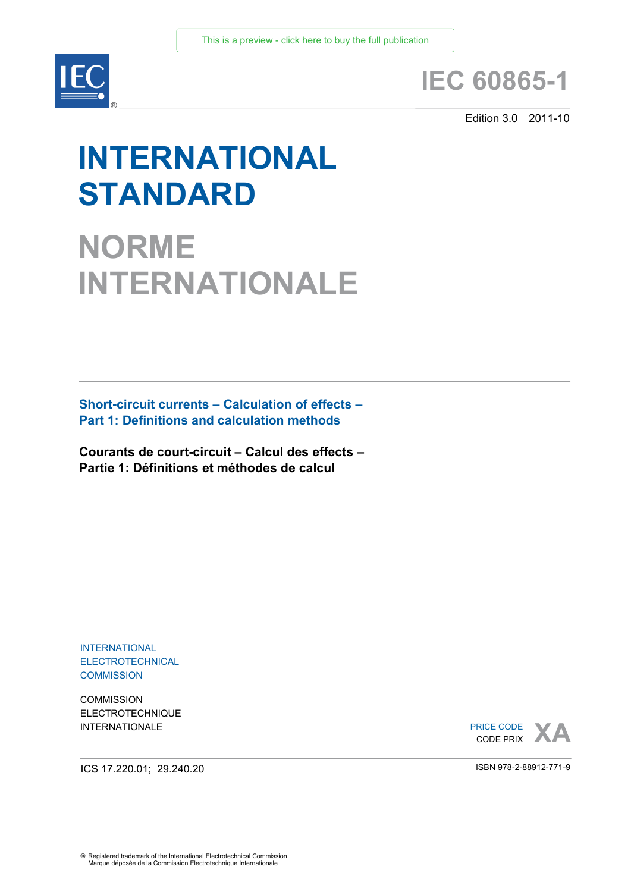

# **IEC 60865-1**

Edition 3.0 2011-10

# **INTERNATIONAL STANDARD**

**NORME INTERNATIONALE**

**Short-circuit currents – Calculation of effects – Part 1: Definitions and calculation methods** 

**Courants de court-circuit – Calcul des effects – Partie 1: Définitions et méthodes de calcul** 

INTERNATIONAL **ELECTROTECHNICAL COMMISSION** 

**COMMISSION** ELECTROTECHNIQUE

INTERNATIONALE PRICE CODE PRIX<br> **XA** PRICE CODE CODE PRIX

ICS 17.220.01; 29.240.20

ISBN 978-2-88912-771-9

® Registered trademark of the International Electrotechnical Commission Marque déposée de la Commission Electrotechnique Internationale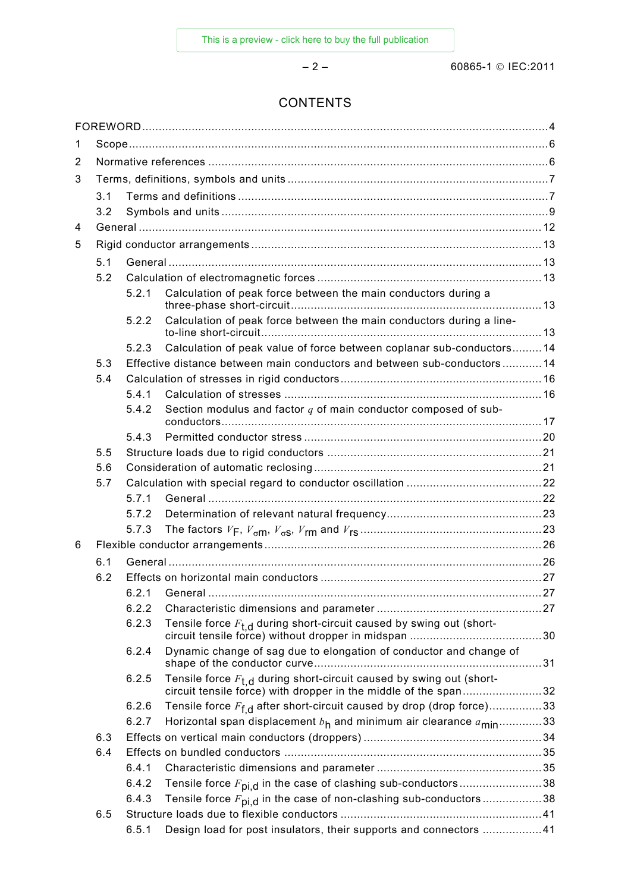# **CONTENTS**

| 1 |     |       |                                                                                                                                             |  |  |
|---|-----|-------|---------------------------------------------------------------------------------------------------------------------------------------------|--|--|
| 2 |     |       |                                                                                                                                             |  |  |
| 3 |     |       |                                                                                                                                             |  |  |
|   | 3.1 |       |                                                                                                                                             |  |  |
|   | 3.2 |       |                                                                                                                                             |  |  |
| 4 |     |       |                                                                                                                                             |  |  |
| 5 |     |       |                                                                                                                                             |  |  |
|   | 5.1 |       |                                                                                                                                             |  |  |
|   | 5.2 |       |                                                                                                                                             |  |  |
|   |     | 5.2.1 | Calculation of peak force between the main conductors during a                                                                              |  |  |
|   |     | 5.2.2 | Calculation of peak force between the main conductors during a line-                                                                        |  |  |
|   |     | 5.2.3 | Calculation of peak value of force between coplanar sub-conductors 14                                                                       |  |  |
|   | 5.3 |       | Effective distance between main conductors and between sub-conductors 14                                                                    |  |  |
|   | 5.4 |       |                                                                                                                                             |  |  |
|   |     | 5.4.1 |                                                                                                                                             |  |  |
|   |     | 5.4.2 | Section modulus and factor $q$ of main conductor composed of sub-                                                                           |  |  |
|   |     | 5.4.3 |                                                                                                                                             |  |  |
|   | 5.5 |       |                                                                                                                                             |  |  |
|   | 5.6 |       |                                                                                                                                             |  |  |
|   | 5.7 |       |                                                                                                                                             |  |  |
|   |     | 5.7.1 |                                                                                                                                             |  |  |
|   |     | 5.7.2 |                                                                                                                                             |  |  |
|   |     | 5.7.3 |                                                                                                                                             |  |  |
| 6 |     |       |                                                                                                                                             |  |  |
|   | 6.1 |       |                                                                                                                                             |  |  |
|   | 6.2 |       |                                                                                                                                             |  |  |
|   |     |       |                                                                                                                                             |  |  |
|   |     | 6.2.2 |                                                                                                                                             |  |  |
|   |     | 6.2.3 | Tensile force $F_{t,d}$ during short-circuit caused by swing out (short-                                                                    |  |  |
|   |     | 6.2.4 | Dynamic change of sag due to elongation of conductor and change of                                                                          |  |  |
|   |     | 6.2.5 | Tensile force $F_{t,d}$ during short-circuit caused by swing out (short-<br>circuit tensile force) with dropper in the middle of the span32 |  |  |
|   |     | 6.2.6 | Tensile force $F_{f,d}$ after short-circuit caused by drop (drop force)33                                                                   |  |  |
|   |     | 6.2.7 | Horizontal span displacement $b_h$ and minimum air clearance $a_{min}$ 33                                                                   |  |  |
|   | 6.3 |       |                                                                                                                                             |  |  |
|   | 6.4 |       |                                                                                                                                             |  |  |
|   |     | 6.4.1 |                                                                                                                                             |  |  |
|   |     | 6.4.2 | Tensile force $F_{pi,d}$ in the case of clashing sub-conductors38                                                                           |  |  |
|   |     | 6.4.3 | Tensile force $F_{pi,d}$ in the case of non-clashing sub-conductors 38                                                                      |  |  |
|   | 6.5 |       |                                                                                                                                             |  |  |
|   |     | 6.5.1 | Design load for post insulators, their supports and connectors 41                                                                           |  |  |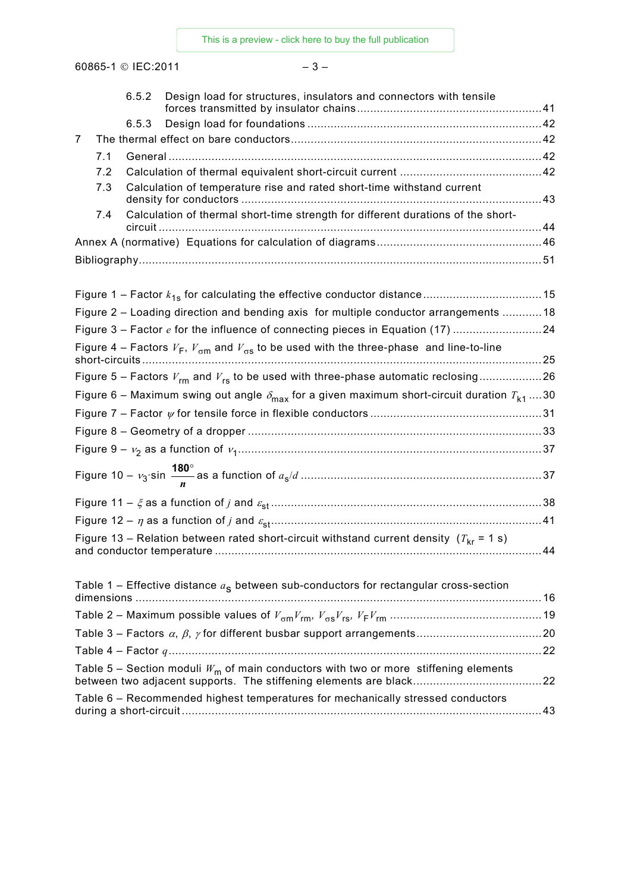This is a preview - click here to buy the full publication

60865-1 © IEC:2011  $-3-$ 

|                |     | 6.5.2 | Design load for structures, insulators and connectors with tensile                                              |  |
|----------------|-----|-------|-----------------------------------------------------------------------------------------------------------------|--|
|                |     | 6.5.3 |                                                                                                                 |  |
| $\overline{7}$ |     |       |                                                                                                                 |  |
|                | 7.1 |       |                                                                                                                 |  |
|                | 7.2 |       |                                                                                                                 |  |
|                | 7.3 |       | Calculation of temperature rise and rated short-time withstand current                                          |  |
|                |     |       |                                                                                                                 |  |
|                | 7.4 |       | Calculation of thermal short-time strength for different durations of the short-                                |  |
|                |     |       |                                                                                                                 |  |
|                |     |       |                                                                                                                 |  |
|                |     |       |                                                                                                                 |  |
|                |     |       |                                                                                                                 |  |
|                |     |       | Figure 2 - Loading direction and bending axis for multiple conductor arrangements  18                           |  |
|                |     |       | Figure 3 – Factor e for the influence of connecting pieces in Equation (17) 24                                  |  |
|                |     |       | Figure 4 – Factors $V_F$ , $V_{\sigma m}$ and $V_{\sigma s}$ to be used with the three-phase and line-to-line   |  |
|                |     |       |                                                                                                                 |  |
|                |     |       | Figure 5 – Factors $V_{\text{rm}}$ and $V_{\text{rs}}$ to be used with three-phase automatic reclosing26        |  |
|                |     |       | Figure 6 – Maximum swing out angle $\delta_{\text{max}}$ for a given maximum short-circuit duration $T_{k1}$ 30 |  |
|                |     |       |                                                                                                                 |  |
|                |     |       |                                                                                                                 |  |
|                |     |       |                                                                                                                 |  |
|                |     |       |                                                                                                                 |  |
|                |     |       |                                                                                                                 |  |
|                |     |       |                                                                                                                 |  |
|                |     |       |                                                                                                                 |  |
|                |     |       | Figure 13 – Relation between rated short-circuit withstand current density $(T_{\text{kr}} = 1 \text{ s})$      |  |
|                |     |       |                                                                                                                 |  |
|                |     |       |                                                                                                                 |  |
|                |     |       | Table 1 – Effective distance $a_S$ between sub-conductors for rectangular cross-section                         |  |
|                |     |       |                                                                                                                 |  |
|                |     |       |                                                                                                                 |  |
|                |     |       |                                                                                                                 |  |
|                |     |       |                                                                                                                 |  |
|                |     |       | Table 5 – Section moduli $W_m$ of main conductors with two or more stiffening elements                          |  |
|                |     |       | Table 6 - Recommended highest temperatures for mechanically stressed conductors                                 |  |
|                |     |       |                                                                                                                 |  |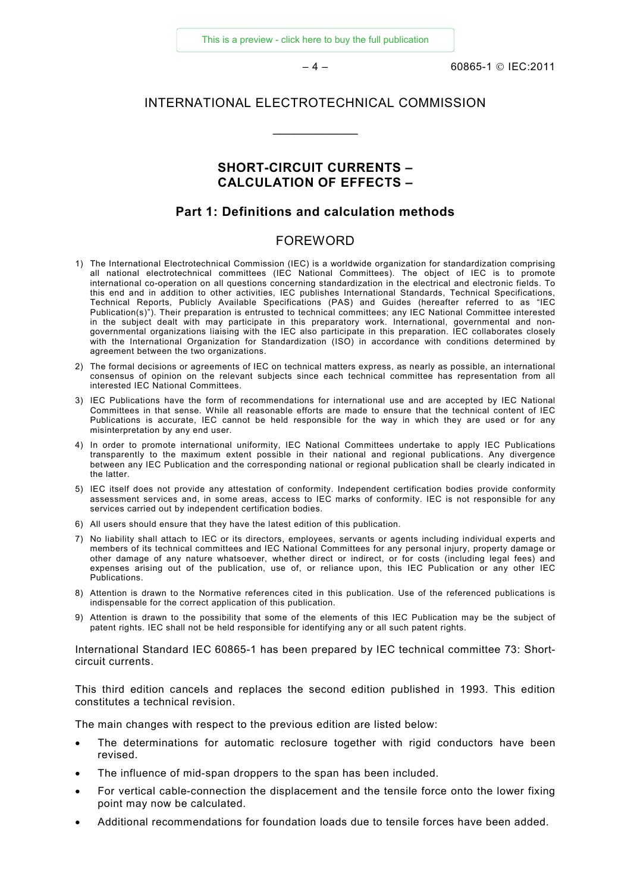This is a preview - click here to buy the full publication

 $-4 -$  60865-1 © IEC:2011

## INTERNATIONAL ELECTROTECHNICAL COMMISSION

\_\_\_\_\_\_\_\_\_\_\_\_

#### **SHORT-CIRCUIT CURRENTS – CALCULATION OF EFFECTS –**

#### **Part 1: Definitions and calculation methods**

### FOREWORD

- 1) The International Electrotechnical Commission (IEC) is a worldwide organization for standardization comprising all national electrotechnical committees (IEC National Committees). The object of IEC is to promote international co-operation on all questions concerning standardization in the electrical and electronic fields. To this end and in addition to other activities, IEC publishes International Standards, Technical Specifications, Technical Reports, Publicly Available Specifications (PAS) and Guides (hereafter referred to as "IEC Publication(s)"). Their preparation is entrusted to technical committees; any IEC National Committee interested in the subject dealt with may participate in this preparatory work. International, governmental and nongovernmental organizations liaising with the IEC also participate in this preparation. IEC collaborates closely with the International Organization for Standardization (ISO) in accordance with conditions determined by agreement between the two organizations.
- 2) The formal decisions or agreements of IEC on technical matters express, as nearly as possible, an international consensus of opinion on the relevant subjects since each technical committee has representation from all interested IEC National Committees.
- 3) IEC Publications have the form of recommendations for international use and are accepted by IEC National Committees in that sense. While all reasonable efforts are made to ensure that the technical content of IEC Publications is accurate, IEC cannot be held responsible for the way in which they are used or for any misinterpretation by any end user.
- 4) In order to promote international uniformity, IEC National Committees undertake to apply IEC Publications transparently to the maximum extent possible in their national and regional publications. Any divergence between any IEC Publication and the corresponding national or regional publication shall be clearly indicated in the latter.
- 5) IEC itself does not provide any attestation of conformity. Independent certification bodies provide conformity assessment services and, in some areas, access to IEC marks of conformity. IEC is not responsible for any services carried out by independent certification bodies.
- 6) All users should ensure that they have the latest edition of this publication.
- 7) No liability shall attach to IEC or its directors, employees, servants or agents including individual experts and members of its technical committees and IEC National Committees for any personal injury, property damage or other damage of any nature whatsoever, whether direct or indirect, or for costs (including legal fees) and expenses arising out of the publication, use of, or reliance upon, this IEC Publication or any other IEC Publications.
- 8) Attention is drawn to the Normative references cited in this publication. Use of the referenced publications is indispensable for the correct application of this publication.
- 9) Attention is drawn to the possibility that some of the elements of this IEC Publication may be the subject of patent rights. IEC shall not be held responsible for identifying any or all such patent rights.

International Standard IEC 60865-1 has been prepared by IEC technical committee 73: Shortcircuit currents.

This third edition cancels and replaces the second edition published in 1993. This edition constitutes a technical revision.

The main changes with respect to the previous edition are listed below:

- The determinations for automatic reclosure together with rigid conductors have been revised.
- The influence of mid-span droppers to the span has been included.
- For vertical cable-connection the displacement and the tensile force onto the lower fixing point may now be calculated.
- Additional recommendations for foundation loads due to tensile forces have been added.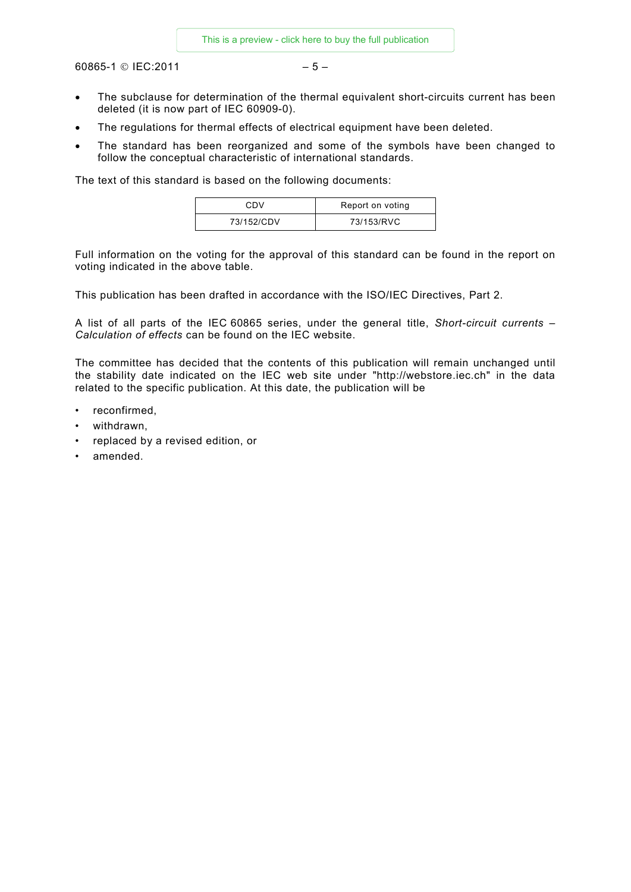60865-1 © IEC:2011 – 5 –

- The subclause for determination of the thermal equivalent short-circuits current has been deleted (it is now part of IEC 60909-0).
- The regulations for thermal effects of electrical equipment have been deleted.
- The standard has been reorganized and some of the symbols have been changed to follow the conceptual characteristic of international standards.

The text of this standard is based on the following documents:

| CDV        | Report on voting |
|------------|------------------|
| 73/152/CDV | 73/153/RVC       |

Full information on the voting for the approval of this standard can be found in the report on voting indicated in the above table.

This publication has been drafted in accordance with the ISO/IEC Directives, Part 2.

A list of all parts of the IEC 60865 series, under the general title, *Short-circuit currents – Calculation of effects* can be found on the IEC website.

The committee has decided that the contents of this publication will remain unchanged until the stability date indicated on the IEC web site under "http://webstore.iec.ch" in the data related to the specific publication. At this date, the publication will be

- reconfirmed,
- withdrawn,
- replaced by a revised edition, or
- amended.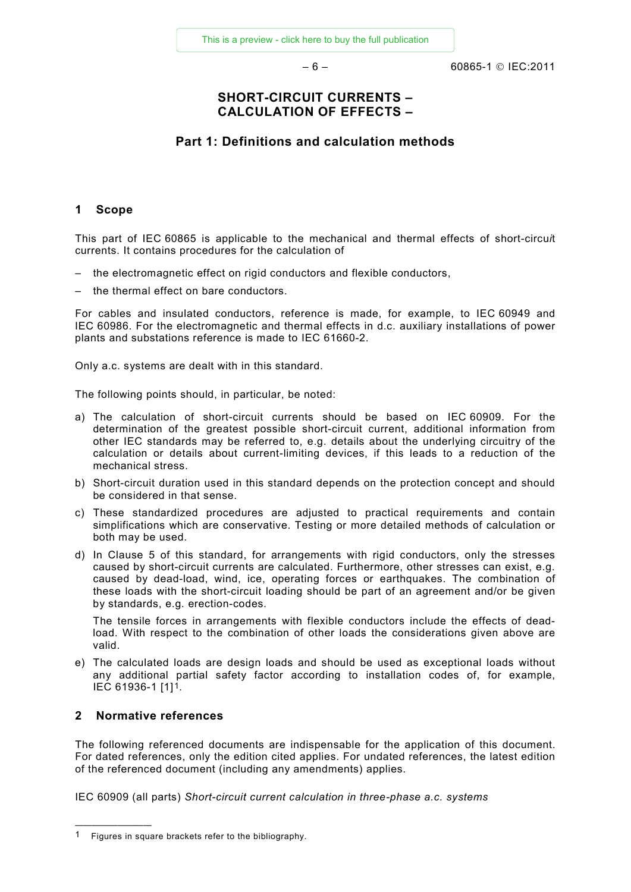$-6 -$  60865-1 © IFC:2011

# **SHORT-CIRCUIT CURRENTS – CALCULATION OF EFFECTS –**

# **Part 1: Definitions and calculation methods**

#### **1 Scope**

This part of IEC 60865 is applicable to the mechanical and thermal effects of short-circu*i*t currents. It contains procedures for the calculation of

- the electromagnetic effect on rigid conductors and flexible conductors,
- the thermal effect on bare conductors.

For cables and insulated conductors, reference is made, for example, to IEC 60949 and IEC 60986. For the electromagnetic and thermal effects in d.c. auxiliary installations of power plants and substations reference is made to IEC 61660-2.

Only a.c. systems are dealt with in this standard.

The following points should, in particular, be noted:

- a) The calculation of short-circuit currents should be based on IEC 60909. For the determination of the greatest possible short-circuit current, additional information from other IEC standards may be referred to, e.g. details about the underlying circuitry of the calculation or details about current-limiting devices, if this leads to a reduction of the mechanical stress.
- b) Short-circuit duration used in this standard depends on the protection concept and should be considered in that sense.
- c) These standardized procedures are adjusted to practical requirements and contain simplifications which are conservative. Testing or more detailed methods of calculation or both may be used.
- d) In Clause 5 of this standard, for arrangements with rigid conductors, only the stresses caused by short-circuit currents are calculated. Furthermore, other stresses can exist, e.g. caused by dead-load, wind, ice, operating forces or earthquakes. The combination of these loads with the short-circuit loading should be part of an agreement and/or be given by standards, e.g. erection-codes.

The tensile forces in arrangements with flexible conductors include the effects of deadload. With respect to the combination of other loads the considerations given above are valid.

e) The calculated loads are design loads and should be used as exceptional loads without any additional partial safety factor according to installation codes of, for example, IEC 61936-1 [1]1.

# **2 Normative references**

—————————

The following referenced documents are indispensable for the application of this document. For dated references, only the edition cited applies. For undated references, the latest edition of the referenced document (including any amendments) applies.

IEC 60909 (all parts) *Short-circuit current calculation in three-phase a.c. systems*

<sup>1</sup> Figures in square brackets refer to the bibliography.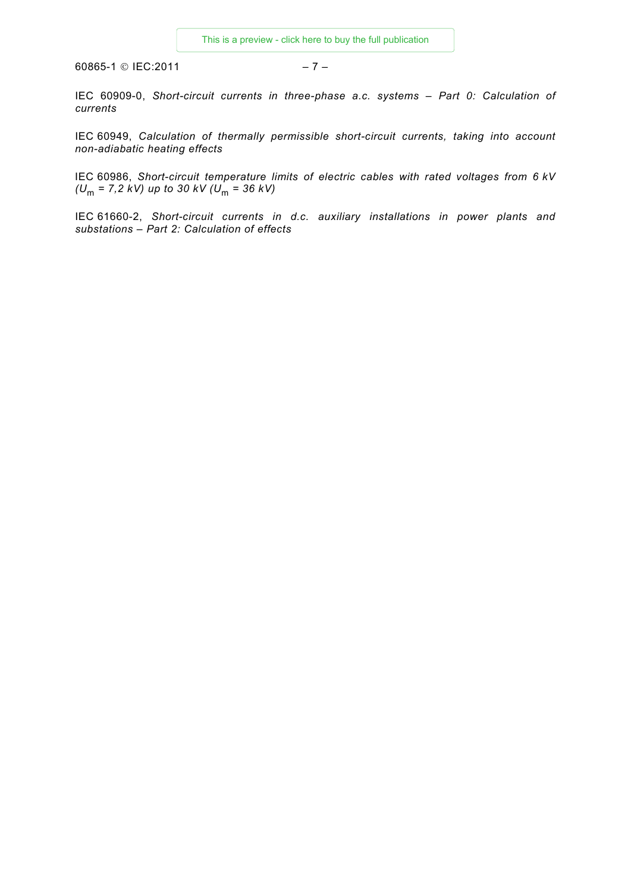60865-1 © IEC:2011 – 7 –

IEC 60909-0, *Short-circuit currents in three-phase a.c. systems – Part 0: Calculation of currents*

IEC 60949, *Calculation of thermally permissible short-circuit currents, taking into account non-adiabatic heating effects*

IEC 60986, *Short-circuit temperature limits of electric cables with rated voltages from 6 kV*  $(U_m = 7.2 \text{ kV})$  *up to 30 kV*  $(U_m = 36 \text{ kV})$ 

IEC 61660-2, *Short-circuit currents in d.c. auxiliary installations in power plants and substations – Part 2: Calculation of effects*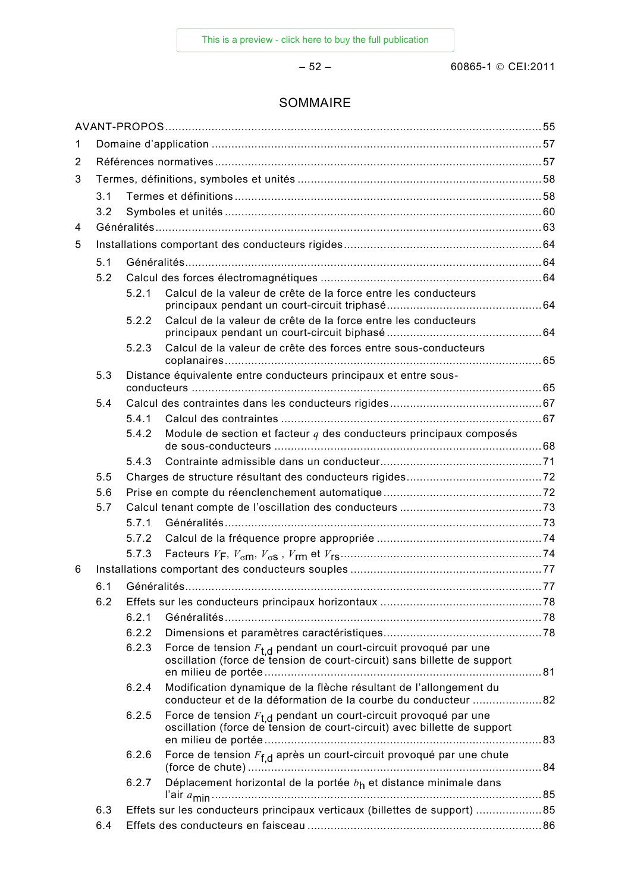# SOMMAIRE

| 1 |     |       |                                                                                                                                                  |  |  |
|---|-----|-------|--------------------------------------------------------------------------------------------------------------------------------------------------|--|--|
| 2 |     |       |                                                                                                                                                  |  |  |
| 3 |     |       |                                                                                                                                                  |  |  |
|   | 3.1 |       |                                                                                                                                                  |  |  |
|   | 3.2 |       |                                                                                                                                                  |  |  |
| 4 |     |       |                                                                                                                                                  |  |  |
| 5 |     |       |                                                                                                                                                  |  |  |
|   | 5.1 |       |                                                                                                                                                  |  |  |
|   | 5.2 |       |                                                                                                                                                  |  |  |
|   |     | 5.2.1 | Calcul de la valeur de crête de la force entre les conducteurs                                                                                   |  |  |
|   |     |       |                                                                                                                                                  |  |  |
|   |     | 5.2.2 | Calcul de la valeur de crête de la force entre les conducteurs                                                                                   |  |  |
|   |     | 5.2.3 | Calcul de la valeur de crête des forces entre sous-conducteurs                                                                                   |  |  |
|   | 5.3 |       | Distance équivalente entre conducteurs principaux et entre sous-                                                                                 |  |  |
|   | 5.4 |       |                                                                                                                                                  |  |  |
|   |     | 5.4.1 |                                                                                                                                                  |  |  |
|   |     | 5.4.2 | Module de section et facteur $q$ des conducteurs principaux composés                                                                             |  |  |
|   |     | 5.4.3 |                                                                                                                                                  |  |  |
|   | 5.5 |       |                                                                                                                                                  |  |  |
|   | 5.6 |       |                                                                                                                                                  |  |  |
|   | 5.7 |       |                                                                                                                                                  |  |  |
|   |     | 5.7.1 |                                                                                                                                                  |  |  |
|   |     | 5.7.2 |                                                                                                                                                  |  |  |
|   |     | 5.7.3 |                                                                                                                                                  |  |  |
| 6 |     |       |                                                                                                                                                  |  |  |
|   | 6.1 |       |                                                                                                                                                  |  |  |
|   | 6.2 |       |                                                                                                                                                  |  |  |
|   |     | 6.2.1 |                                                                                                                                                  |  |  |
|   |     | 6.2.2 |                                                                                                                                                  |  |  |
|   |     | 6.2.3 | Force de tension $F_{t,d}$ pendant un court-circuit provoqué par une<br>oscillation (force de tension de court-circuit) sans billette de support |  |  |
|   |     | 6.2.4 | Modification dynamique de la flèche résultant de l'allongement du<br>conducteur et de la déformation de la courbe du conducteur 82               |  |  |
|   |     | 6.2.5 | Force de tension $F_{t,d}$ pendant un court-circuit provoqué par une<br>oscillation (force de tension de court-circuit) avec billette de support |  |  |
|   |     | 6.2.6 | Force de tension $F_{f,d}$ après un court-circuit provoqué par une chute                                                                         |  |  |
|   |     | 6.2.7 | Déplacement horizontal de la portée $bh$ et distance minimale dans                                                                               |  |  |
|   | 6.3 |       | Effets sur les conducteurs principaux verticaux (billettes de support) 85                                                                        |  |  |
|   | 6.4 |       |                                                                                                                                                  |  |  |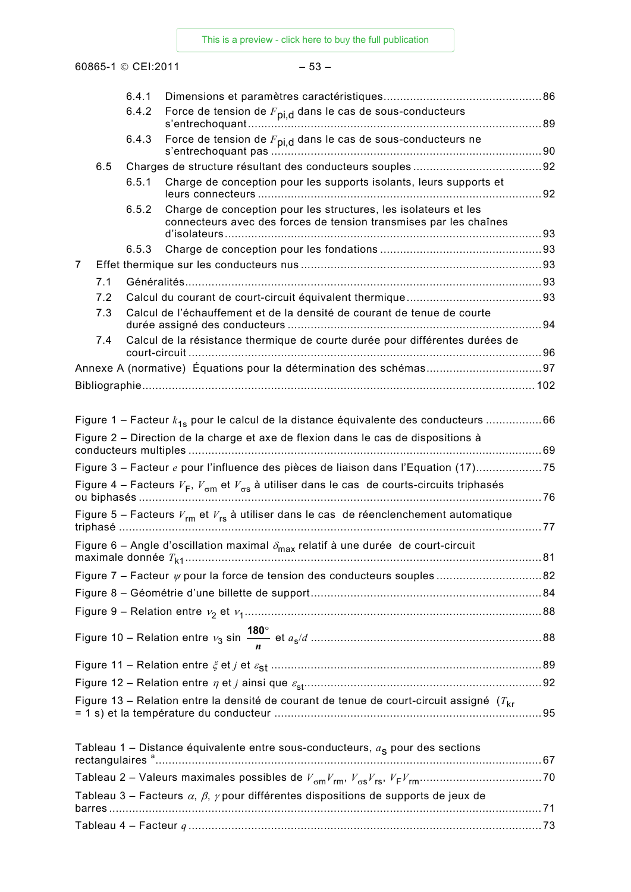This is a preview - click here to buy the full publication

 $60865-1$  © CEI:2011 – 53 –

|                |     | 6.4.1 |                                                                                                                  |  |
|----------------|-----|-------|------------------------------------------------------------------------------------------------------------------|--|
|                |     | 6.4.2 | Force de tension de $F_{pi,d}$ dans le cas de sous-conducteurs                                                   |  |
|                |     | 6.4.3 | Force de tension de $F_{pi,d}$ dans le cas de sous-conducteurs ne                                                |  |
|                | 6.5 |       |                                                                                                                  |  |
|                |     | 6.5.1 | Charge de conception pour les supports isolants, leurs supports et                                               |  |
|                |     | 6.5.2 | Charge de conception pour les structures, les isolateurs et les                                                  |  |
|                |     |       | connecteurs avec des forces de tension transmises par les chaînes                                                |  |
|                |     | 6.5.3 |                                                                                                                  |  |
| $\overline{7}$ |     |       |                                                                                                                  |  |
|                | 7.1 |       |                                                                                                                  |  |
|                | 7.2 |       |                                                                                                                  |  |
|                | 7.3 |       | Calcul de l'échauffement et de la densité de courant de tenue de courte                                          |  |
|                | 7.4 |       | Calcul de la résistance thermique de courte durée pour différentes durées de                                     |  |
|                |     |       |                                                                                                                  |  |
|                |     |       |                                                                                                                  |  |
|                |     |       |                                                                                                                  |  |
|                |     |       | Figure 1 – Facteur $k_{1s}$ pour le calcul de la distance équivalente des conducteurs 66                         |  |
|                |     |       | Figure 2 – Direction de la charge et axe de flexion dans le cas de dispositions à                                |  |
|                |     |       |                                                                                                                  |  |
|                |     |       | Figure 3 – Facteur e pour l'influence des pièces de liaison dans l'Equation (17)75                               |  |
|                |     |       | Figure 4 – Facteurs $V_F$ , $V_{\sigma m}$ et $V_{\sigma s}$ à utiliser dans le cas de courts-circuits triphasés |  |
|                |     |       | Figure 5 – Facteurs $V_{\text{rm}}$ et $V_{\text{rs}}$ à utiliser dans le cas de réenclenchement automatique     |  |
|                |     |       | Figure 6 – Angle d'oscillation maximal $\delta_{\text{max}}$ relatif à une durée de court-circuit                |  |
|                |     |       |                                                                                                                  |  |
|                |     |       |                                                                                                                  |  |
|                |     |       |                                                                                                                  |  |
|                |     |       |                                                                                                                  |  |
|                |     |       |                                                                                                                  |  |
|                |     |       |                                                                                                                  |  |
|                |     |       |                                                                                                                  |  |
|                |     |       | Figure 13 – Relation entre la densité de courant de tenue de court-circuit assigné $(T_{\text{kr}})$             |  |
|                |     |       |                                                                                                                  |  |
|                |     |       | Tableau 1 – Distance équivalente entre sous-conducteurs, $a_S$ pour des sections                                 |  |
|                |     |       |                                                                                                                  |  |
|                |     |       |                                                                                                                  |  |
|                |     |       | Tableau 3 – Facteurs $\alpha$ , $\beta$ , $\gamma$ pour différentes dispositions de supports de jeux de          |  |

Tableau 4 – Facteur *q* ........................................................................................................... 73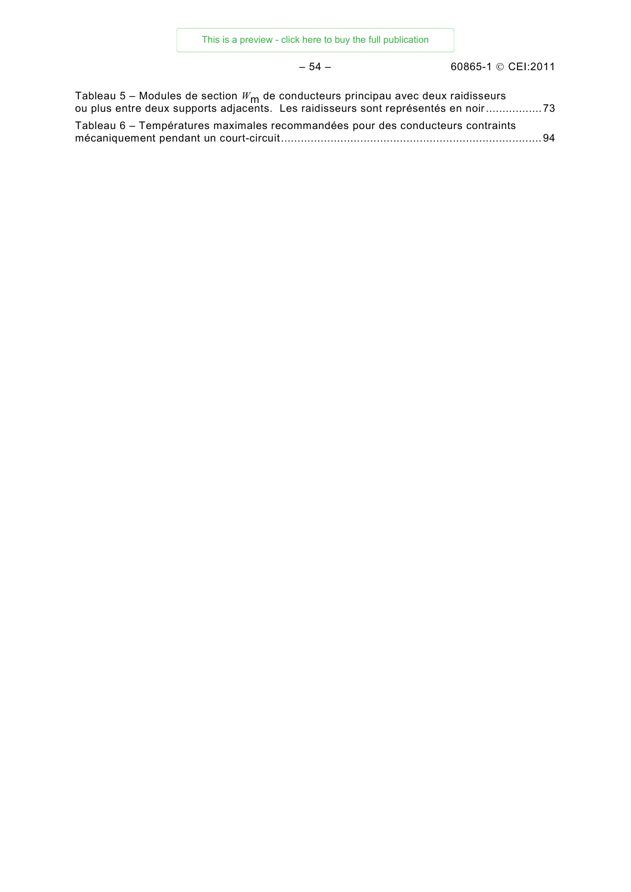$-54 - 60865 - 1 \circ \text{CE}1:2011$ 

| Tableau 5 – Modules de section $W_{\mathbf{m}}$ de conducteurs principau avec deux raidisseurs<br>ou plus entre deux supports adjacents. Les raidisseurs sont représentés en noir73 |  |
|-------------------------------------------------------------------------------------------------------------------------------------------------------------------------------------|--|
| Tableau 6 – Températures maximales recommandées pour des conducteurs contraints                                                                                                     |  |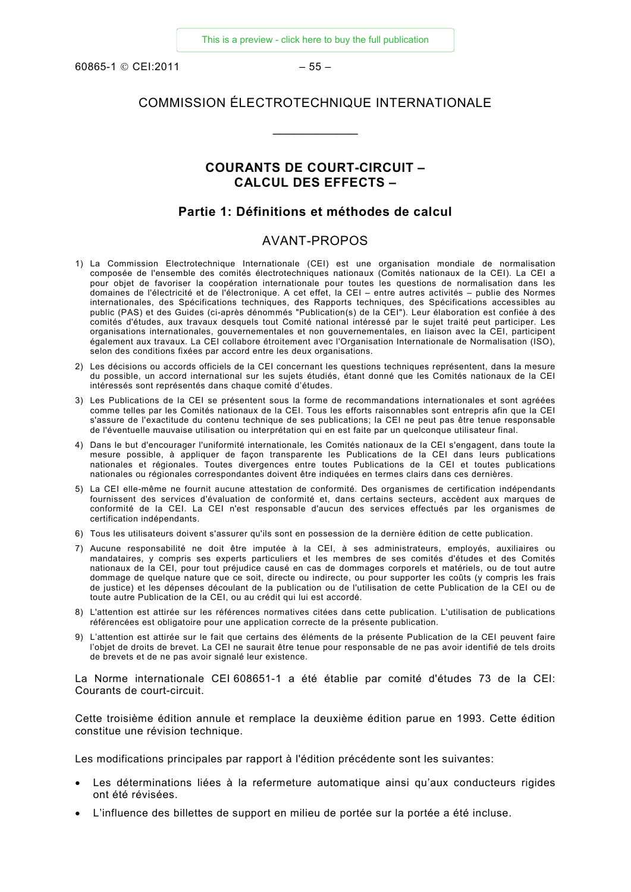$60865 - 1$  © CEI:2011 – 55

# COMMISSION ÉLECTROTECHNIQUE INTERNATIONALE

\_\_\_\_\_\_\_\_\_\_\_\_

#### **COURANTS DE COURT-CIRCUIT – CALCUL DES EFFECTS –**

#### **Partie 1: Définitions et méthodes de calcul**

#### AVANT-PROPOS

- 1) La Commission Electrotechnique Internationale (CEI) est une organisation mondiale de normalisation composée de l'ensemble des comités électrotechniques nationaux (Comités nationaux de la CEI). La CEI a pour objet de favoriser la coopération internationale pour toutes les questions de normalisation dans les domaines de l'électricité et de l'électronique. A cet effet, la CEI – entre autres activités – publie des Normes internationales, des Spécifications techniques, des Rapports techniques, des Spécifications accessibles au public (PAS) et des Guides (ci-après dénommés "Publication(s) de la CEI"). Leur élaboration est confiée à des comités d'études, aux travaux desquels tout Comité national intéressé par le sujet traité peut participer. Les organisations internationales, gouvernementales et non gouvernementales, en liaison avec la CEI, participent également aux travaux. La CEI collabore étroitement avec l'Organisation Internationale de Normalisation (ISO), selon des conditions fixées par accord entre les deux organisations.
- 2) Les décisions ou accords officiels de la CEI concernant les questions techniques représentent, dans la mesure du possible, un accord international sur les sujets étudiés, étant donné que les Comités nationaux de la CEI intéressés sont représentés dans chaque comité d'études.
- 3) Les Publications de la CEI se présentent sous la forme de recommandations internationales et sont agréées comme telles par les Comités nationaux de la CEI. Tous les efforts raisonnables sont entrepris afin que la CEI s'assure de l'exactitude du contenu technique de ses publications; la CEI ne peut pas être tenue responsable de l'éventuelle mauvaise utilisation ou interprétation qui en est faite par un quelconque utilisateur final.
- 4) Dans le but d'encourager l'uniformité internationale, les Comités nationaux de la CEI s'engagent, dans toute la mesure possible, à appliquer de façon transparente les Publications de la CEI dans leurs publications nationales et régionales. Toutes divergences entre toutes Publications de la CEI et toutes publications nationales ou régionales correspondantes doivent être indiquées en termes clairs dans ces dernières.
- 5) La CEI elle-même ne fournit aucune attestation de conformité. Des organismes de certification indépendants fournissent des services d'évaluation de conformité et, dans certains secteurs, accèdent aux marques de conformité de la CEI. La CEI n'est responsable d'aucun des services effectués par les organismes de certification indépendants.
- 6) Tous les utilisateurs doivent s'assurer qu'ils sont en possession de la dernière édition de cette publication.
- 7) Aucune responsabilité ne doit être imputée à la CEI, à ses administrateurs, employés, auxiliaires ou mandataires, y compris ses experts particuliers et les membres de ses comités d'études et des Comités nationaux de la CEI, pour tout préjudice causé en cas de dommages corporels et matériels, ou de tout autre dommage de quelque nature que ce soit, directe ou indirecte, ou pour supporter les coûts (y compris les frais de justice) et les dépenses découlant de la publication ou de l'utilisation de cette Publication de la CEI ou de toute autre Publication de la CEI, ou au crédit qui lui est accordé.
- 8) L'attention est attirée sur les références normatives citées dans cette publication. L'utilisation de publications référencées est obligatoire pour une application correcte de la présente publication.
- 9) L'attention est attirée sur le fait que certains des éléments de la présente Publication de la CEI peuvent faire l'objet de droits de brevet. La CEI ne saurait être tenue pour responsable de ne pas avoir identifié de tels droits de brevets et de ne pas avoir signalé leur existence.

La Norme internationale CEI 608651-1 a été établie par comité d'études 73 de la CEI: Courants de court-circuit.

Cette troisième édition annule et remplace la deuxième édition parue en 1993. Cette édition constitue une révision technique.

Les modifications principales par rapport à l'édition précédente sont les suivantes:

- Les déterminations liées à la refermeture automatique ainsi qu'aux conducteurs rigides ont été révisées.
- L'influence des billettes de support en milieu de portée sur la portée a été incluse.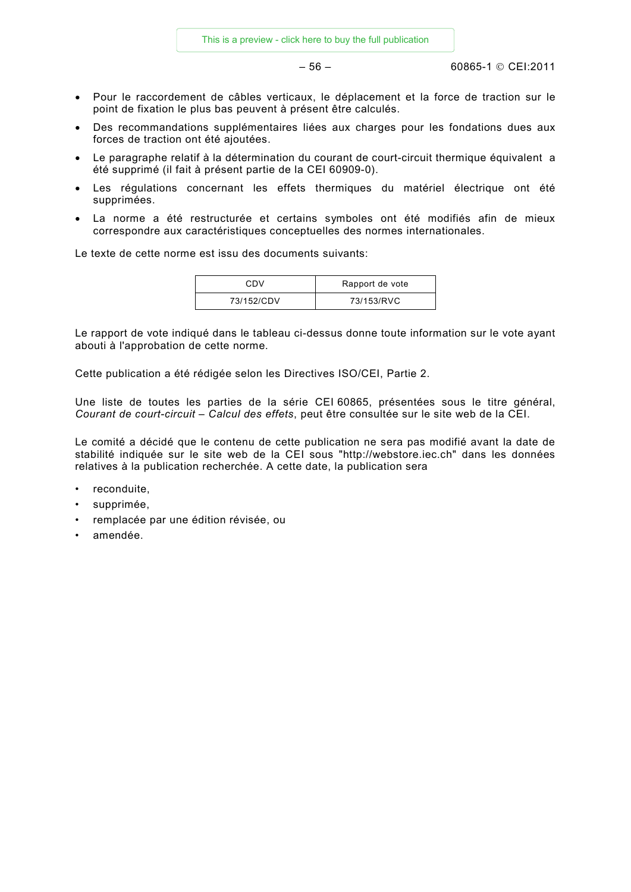$-56 - 60865 - 1 \odot \text{CE}$ 

- Pour le raccordement de câbles verticaux, le déplacement et la force de traction sur le point de fixation le plus bas peuvent à présent être calculés.
- Des recommandations supplémentaires liées aux charges pour les fondations dues aux forces de traction ont été ajoutées.
- Le paragraphe relatif à la détermination du courant de court-circuit thermique équivalent a été supprimé (il fait à présent partie de la CEI 60909-0).
- Les régulations concernant les effets thermiques du matériel électrique ont été supprimées.
- La norme a été restructurée et certains symboles ont été modifiés afin de mieux correspondre aux caractéristiques conceptuelles des normes internationales.

Le texte de cette norme est issu des documents suivants:

| CDV        | Rapport de vote |  |
|------------|-----------------|--|
| 73/152/CDV | 73/153/RVC      |  |

Le rapport de vote indiqué dans le tableau ci-dessus donne toute information sur le vote ayant abouti à l'approbation de cette norme.

Cette publication a été rédigée selon les Directives ISO/CEI, Partie 2.

Une liste de toutes les parties de la série CEI 60865, présentées sous le titre général, *Courant de court-circuit – Calcul des effets*, peut être consultée sur le site web de la CEI.

Le comité a décidé que le contenu de cette publication ne sera pas modifié avant la date de stabilité indiquée sur le site web de la CEI sous "http://webstore.iec.ch" dans les données relatives à la publication recherchée. A cette date, la publication sera

- reconduite,
- supprimée,
- remplacée par une édition révisée, ou
- amendée.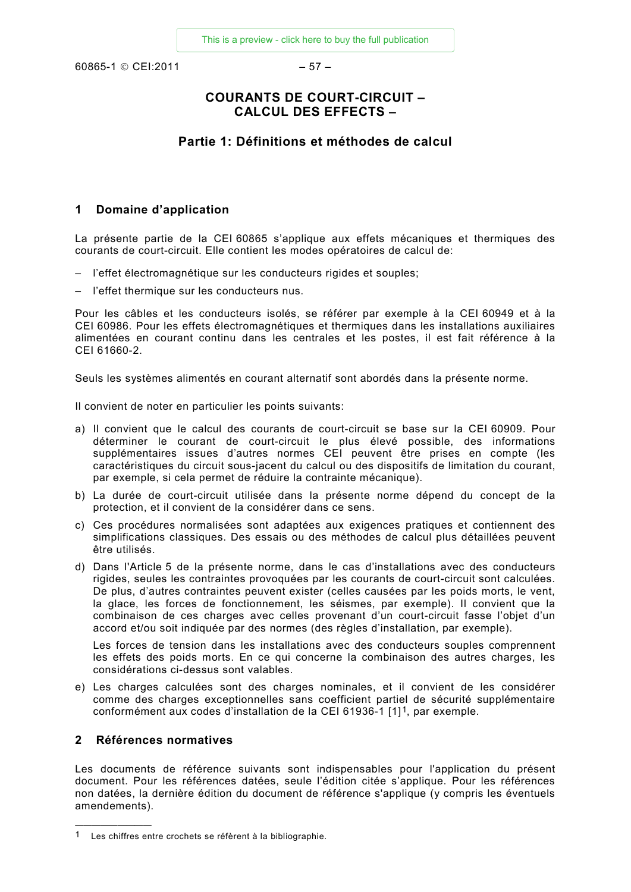$60865 - 1$  © CEI:2011 – 57 –

# **COURANTS DE COURT-CIRCUIT – CALCUL DES EFFECTS –**

### **Partie 1: Définitions et méthodes de calcul**

#### **1 Domaine d'application**

La présente partie de la CEI 60865 s'applique aux effets mécaniques et thermiques des courants de court-circuit. Elle contient les modes opératoires de calcul de:

- l'effet électromagnétique sur les conducteurs rigides et souples;
- l'effet thermique sur les conducteurs nus.

Pour les câbles et les conducteurs isolés, se référer par exemple à la CEI 60949 et à la CEI 60986. Pour les effets électromagnétiques et thermiques dans les installations auxiliaires alimentées en courant continu dans les centrales et les postes, il est fait référence à la CEI 61660-2.

Seuls les systèmes alimentés en courant alternatif sont abordés dans la présente norme.

Il convient de noter en particulier les points suivants:

- a) Il convient que le calcul des courants de court-circuit se base sur la CEI 60909. Pour déterminer le courant de court-circuit le plus élevé possible, des informations supplémentaires issues d'autres normes CEI peuvent être prises en compte (les caractéristiques du circuit sous-jacent du calcul ou des dispositifs de limitation du courant, par exemple, si cela permet de réduire la contrainte mécanique).
- b) La durée de court-circuit utilisée dans la présente norme dépend du concept de la protection, et il convient de la considérer dans ce sens.
- c) Ces procédures normalisées sont adaptées aux exigences pratiques et contiennent des simplifications classiques. Des essais ou des méthodes de calcul plus détaillées peuvent être utilisés.
- d) Dans l'Article 5 de la présente norme, dans le cas d'installations avec des conducteurs rigides, seules les contraintes provoquées par les courants de court-circuit sont calculées. De plus, d'autres contraintes peuvent exister (celles causées par les poids morts, le vent, la glace, les forces de fonctionnement, les séismes, par exemple). Il convient que la combinaison de ces charges avec celles provenant d'un court-circuit fasse l'objet d'un accord et/ou soit indiquée par des normes (des règles d'installation, par exemple).

Les forces de tension dans les installations avec des conducteurs souples comprennent les effets des poids morts. En ce qui concerne la combinaison des autres charges, les considérations ci-dessus sont valables.

e) Les charges calculées sont des charges nominales, et il convient de les considérer comme des charges exceptionnelles sans coefficient partiel de sécurité supplémentaire conformément aux codes d'installation de la CEI 61936-1 [1]1, par exemple*.* 

#### **2 Références normatives**

—————————

Les documents de référence suivants sont indispensables pour l'application du présent document. Pour les références datées, seule l'édition citée s'applique. Pour les références non datées, la dernière édition du document de référence s'applique (y compris les éventuels amendements).

<sup>1</sup> Les chiffres entre crochets se réfèrent à la bibliographie.